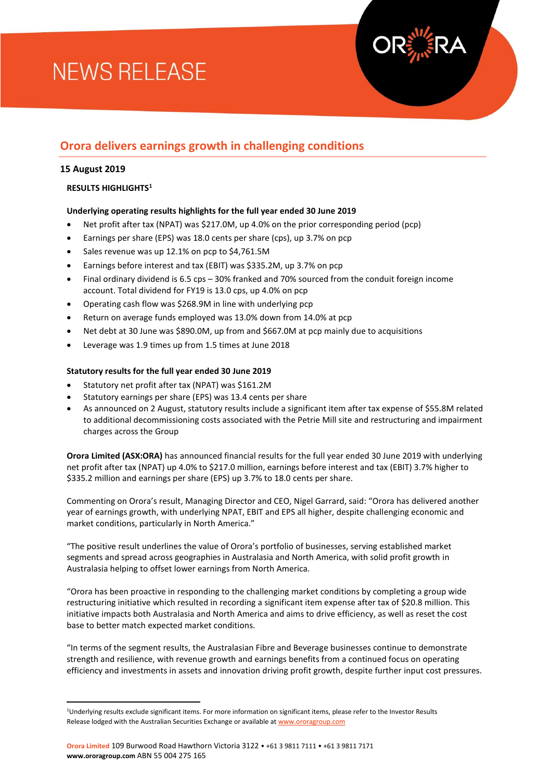# **NEWS RELEASE**



#### **15 August 2019**

 $\overline{a}$ 

#### **RESULTS HIGHLIGHTS<sup>1</sup>**

### **Underlying operating results highlights for the full year ended 30 June 2019**

- Net profit after tax (NPAT) was \$217.0M, up 4.0% on the prior corresponding period (pcp)
- Earnings per share (EPS) was 18.0 cents per share (cps), up 3.7% on pcp
- Sales revenue was up 12.1% on pcp to \$4,761.5M
- Earnings before interest and tax (EBIT) was \$335.2M, up 3.7% on pcp
- Final ordinary dividend is 6.5 cps 30% franked and 70% sourced from the conduit foreign income account. Total dividend for FY19 is 13.0 cps, up 4.0% on pcp
- Operating cash flow was \$268.9M in line with underlying pcp
- Return on average funds employed was 13.0% down from 14.0% at pcp
- Net debt at 30 June was \$890.0M, up from and \$667.0M at pcp mainly due to acquisitions
- Leverage was 1.9 times up from 1.5 times at June 2018

### **Statutory results for the full year ended 30 June 2019**

- Statutory net profit after tax (NPAT) was \$161.2M
- Statutory earnings per share (EPS) was 13.4 cents per share
- As announced on 2 August, statutory results include a significant item after tax expense of \$55.8M related to additional decommissioning costs associated with the Petrie Mill site and restructuring and impairment charges across the Group

**Orora Limited (ASX:ORA)** has announced financial results for the full year ended 30 June 2019 with underlying net profit after tax (NPAT) up 4.0% to \$217.0 million, earnings before interest and tax (EBIT) 3.7% higher to \$335.2 million and earnings per share (EPS) up 3.7% to 18.0 cents per share.

Commenting on Orora's result, Managing Director and CEO, Nigel Garrard, said: "Orora has delivered another year of earnings growth, with underlying NPAT, EBIT and EPS all higher, despite challenging economic and market conditions, particularly in North America."

"The positive result underlines the value of Orora's portfolio of businesses, serving established market segments and spread across geographies in Australasia and North America, with solid profit growth in Australasia helping to offset lower earnings from North America.

"Orora has been proactive in responding to the challenging market conditions by completing a group wide restructuring initiative which resulted in recording a significant item expense after tax of \$20.8 million. This initiative impacts both Australasia and North America and aims to drive efficiency, as well as reset the cost base to better match expected market conditions.

"In terms of the segment results, the Australasian Fibre and Beverage businesses continue to demonstrate strength and resilience, with revenue growth and earnings benefits from a continued focus on operating efficiency and investments in assets and innovation driving profit growth, despite further input cost pressures.

<sup>1</sup>Underlying results exclude significant items. For more information on significant items, please refer to the Investor Results Release lodged with the Australian Securities Exchange or available a[t www.ororagroup.com](http://www.ororagroup.com/)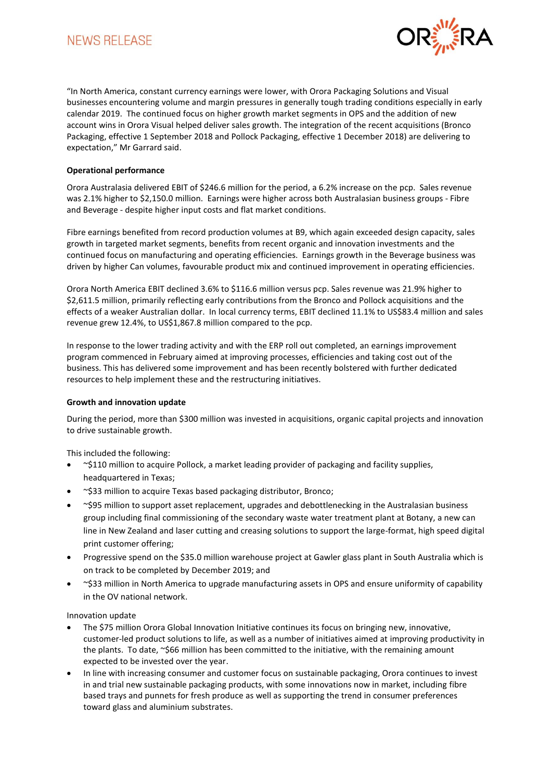# **NEWS RELEASE**



"In North America, constant currency earnings were lower, with Orora Packaging Solutions and Visual businesses encountering volume and margin pressures in generally tough trading conditions especially in early calendar 2019. The continued focus on higher growth market segments in OPS and the addition of new account wins in Orora Visual helped deliver sales growth. The integration of the recent acquisitions (Bronco Packaging, effective 1 September 2018 and Pollock Packaging, effective 1 December 2018) are delivering to expectation," Mr Garrard said.

#### **Operational performance**

Orora Australasia delivered EBIT of \$246.6 million for the period, a 6.2% increase on the pcp. Sales revenue was 2.1% higher to \$2,150.0 million. Earnings were higher across both Australasian business groups - Fibre and Beverage - despite higher input costs and flat market conditions.

Fibre earnings benefited from record production volumes at B9, which again exceeded design capacity, sales growth in targeted market segments, benefits from recent organic and innovation investments and the continued focus on manufacturing and operating efficiencies. Earnings growth in the Beverage business was driven by higher Can volumes, favourable product mix and continued improvement in operating efficiencies.

Orora North America EBIT declined 3.6% to \$116.6 million versus pcp. Sales revenue was 21.9% higher to \$2,611.5 million, primarily reflecting early contributions from the Bronco and Pollock acquisitions and the effects of a weaker Australian dollar. In local currency terms, EBIT declined 11.1% to US\$83.4 million and sales revenue grew 12.4%, to US\$1,867.8 million compared to the pcp.

In response to the lower trading activity and with the ERP roll out completed, an earnings improvement program commenced in February aimed at improving processes, efficiencies and taking cost out of the business. This has delivered some improvement and has been recently bolstered with further dedicated resources to help implement these and the restructuring initiatives.

#### **Growth and innovation update**

During the period, more than \$300 million was invested in acquisitions, organic capital projects and innovation to drive sustainable growth.

This included the following:

- ~\$110 million to acquire Pollock, a market leading provider of packaging and facility supplies, headquartered in Texas;
- ~\$33 million to acquire Texas based packaging distributor, Bronco;
- ~\$95 million to support asset replacement, upgrades and debottlenecking in the Australasian business group including final commissioning of the secondary waste water treatment plant at Botany, a new can line in New Zealand and laser cutting and creasing solutions to support the large-format, high speed digital print customer offering;
- Progressive spend on the \$35.0 million warehouse project at Gawler glass plant in South Australia which is on track to be completed by December 2019; and
- ~\$33 million in North America to upgrade manufacturing assets in OPS and ensure uniformity of capability in the OV national network.

Innovation update

- The \$75 million Orora Global Innovation Initiative continues its focus on bringing new, innovative, customer-led product solutions to life, as well as a number of initiatives aimed at improving productivity in the plants. To date, ~\$66 million has been committed to the initiative, with the remaining amount expected to be invested over the year.
- In line with increasing consumer and customer focus on sustainable packaging, Orora continues to invest in and trial new sustainable packaging products, with some innovations now in market, including fibre based trays and punnets for fresh produce as well as supporting the trend in consumer preferences toward glass and aluminium substrates.